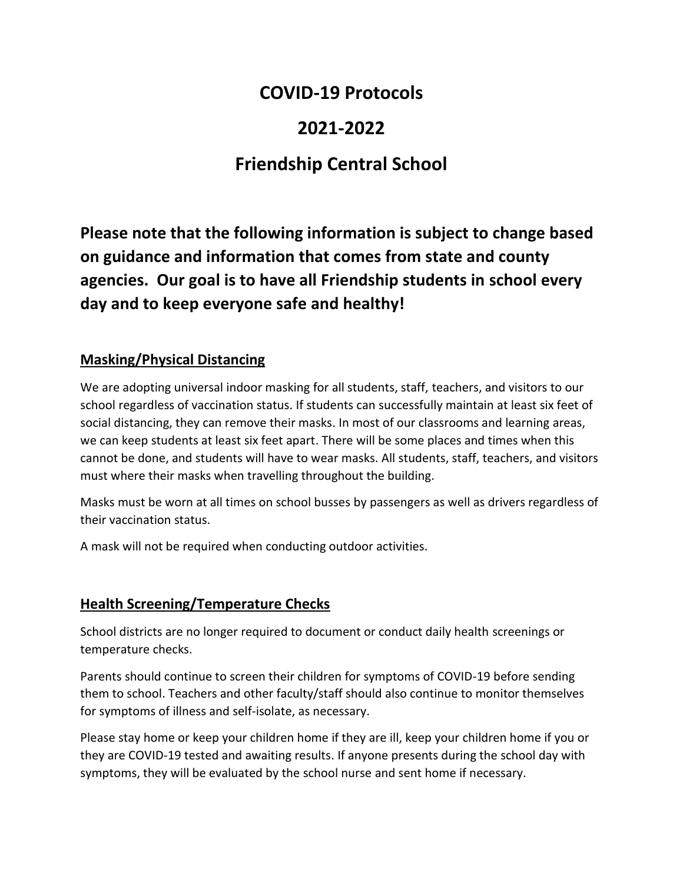### **COVID-19 Protocols**

## **2021-2022**

# **Friendship Central School**

**Please note that the following information is subject to change based on guidance and information that comes from state and county agencies. Our goal is to have all Friendship students in school every day and to keep everyone safe and healthy!**

#### **Masking/Physical Distancing**

We are adopting universal indoor masking for all students, staff, teachers, and visitors to our school regardless of vaccination status. If students can successfully maintain at least six feet of social distancing, they can remove their masks. In most of our classrooms and learning areas, we can keep students at least six feet apart. There will be some places and times when this cannot be done, and students will have to wear masks. All students, staff, teachers, and visitors must where their masks when travelling throughout the building.

Masks must be worn at all times on school busses by passengers as well as drivers regardless of their vaccination status.

A mask will not be required when conducting outdoor activities.

### **Health Screening/Temperature Checks**

School districts are no longer required to document or conduct daily health screenings or temperature checks.

Parents should continue to screen their children for symptoms of COVID-19 before sending them to school. Teachers and other faculty/staff should also continue to monitor themselves for symptoms of illness and self-isolate, as necessary.

Please stay home or keep your children home if they are ill, keep your children home if you or they are COVID-19 tested and awaiting results. If anyone presents during the school day with symptoms, they will be evaluated by the school nurse and sent home if necessary.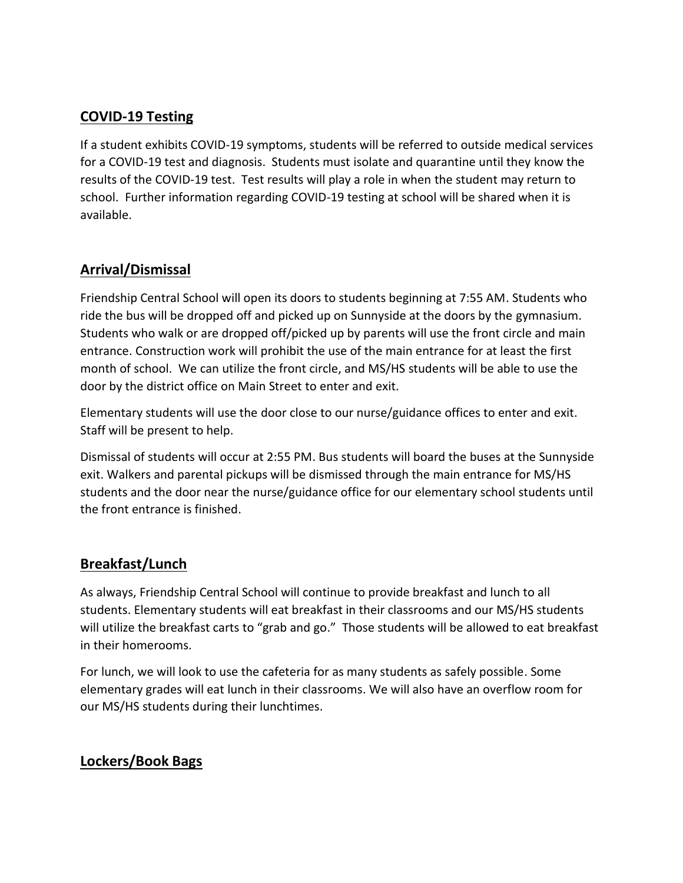#### **COVID-19 Testing**

If a student exhibits COVID-19 symptoms, students will be referred to outside medical services for a COVID-19 test and diagnosis. Students must isolate and quarantine until they know the results of the COVID-19 test. Test results will play a role in when the student may return to school. Further information regarding COVID-19 testing at school will be shared when it is available.

#### **Arrival/Dismissal**

Friendship Central School will open its doors to students beginning at 7:55 AM. Students who ride the bus will be dropped off and picked up on Sunnyside at the doors by the gymnasium. Students who walk or are dropped off/picked up by parents will use the front circle and main entrance. Construction work will prohibit the use of the main entrance for at least the first month of school. We can utilize the front circle, and MS/HS students will be able to use the door by the district office on Main Street to enter and exit.

Elementary students will use the door close to our nurse/guidance offices to enter and exit. Staff will be present to help.

Dismissal of students will occur at 2:55 PM. Bus students will board the buses at the Sunnyside exit. Walkers and parental pickups will be dismissed through the main entrance for MS/HS students and the door near the nurse/guidance office for our elementary school students until the front entrance is finished.

#### **Breakfast/Lunch**

As always, Friendship Central School will continue to provide breakfast and lunch to all students. Elementary students will eat breakfast in their classrooms and our MS/HS students will utilize the breakfast carts to "grab and go." Those students will be allowed to eat breakfast in their homerooms.

For lunch, we will look to use the cafeteria for as many students as safely possible. Some elementary grades will eat lunch in their classrooms. We will also have an overflow room for our MS/HS students during their lunchtimes.

#### **Lockers/Book Bags**